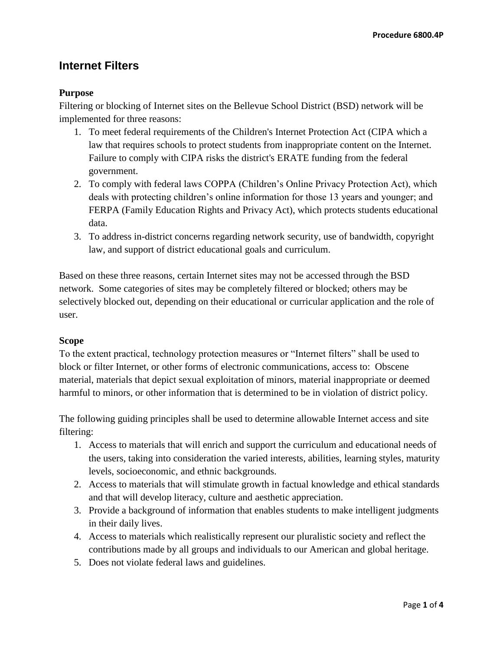# **Internet Filters**

## **Purpose**

Filtering or blocking of Internet sites on the Bellevue School District (BSD) network will be implemented for three reasons:

- 1. To meet federal requirements of the Children's Internet Protection Act (CIPA which a law that requires schools to protect students from inappropriate content on the Internet. Failure to comply with CIPA risks the district's ERATE funding from the federal government.
- 2. To comply with federal laws COPPA (Children's Online Privacy Protection Act), which deals with protecting children's online information for those 13 years and younger; and FERPA (Family Education Rights and Privacy Act), which protects students educational data.
- 3. To address in-district concerns regarding network security, use of bandwidth, copyright law, and support of district educational goals and curriculum.

Based on these three reasons, certain Internet sites may not be accessed through the BSD network. Some categories of sites may be completely filtered or blocked; others may be selectively blocked out, depending on their educational or curricular application and the role of user.

#### **Scope**

To the extent practical, technology protection measures or "Internet filters" shall be used to block or filter Internet, or other forms of electronic communications, access to: Obscene material, materials that depict sexual exploitation of minors, material inappropriate or deemed harmful to minors, or other information that is determined to be in violation of district policy.

The following guiding principles shall be used to determine allowable Internet access and site filtering:

- 1. Access to materials that will enrich and support the curriculum and educational needs of the users, taking into consideration the varied interests, abilities, learning styles, maturity levels, socioeconomic, and ethnic backgrounds.
- 2. Access to materials that will stimulate growth in factual knowledge and ethical standards and that will develop literacy, culture and aesthetic appreciation.
- 3. Provide a background of information that enables students to make intelligent judgments in their daily lives.
- 4. Access to materials which realistically represent our pluralistic society and reflect the contributions made by all groups and individuals to our American and global heritage.
- 5. Does not violate federal laws and guidelines.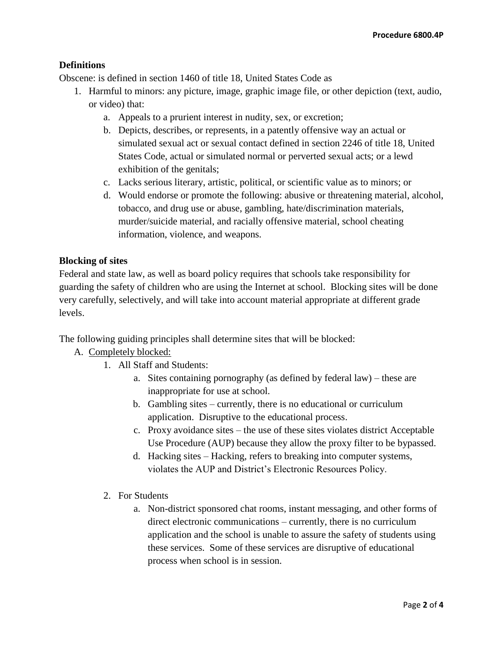## **Definitions**

Obscene: is defined in section 1460 of title 18, United States Code as

- 1. Harmful to minors: any picture, image, graphic image file, or other depiction (text, audio, or video) that:
	- a. Appeals to a prurient interest in nudity, sex, or excretion;
	- b. Depicts, describes, or represents, in a patently offensive way an actual or simulated sexual act or sexual contact defined in section 2246 of title 18, United States Code, actual or simulated normal or perverted sexual acts; or a lewd exhibition of the genitals;
	- c. Lacks serious literary, artistic, political, or scientific value as to minors; or
	- d. Would endorse or promote the following: abusive or threatening material, alcohol, tobacco, and drug use or abuse, gambling, hate/discrimination materials, murder/suicide material, and racially offensive material, school cheating information, violence, and weapons.

#### **Blocking of sites**

Federal and state law, as well as board policy requires that schools take responsibility for guarding the safety of children who are using the Internet at school. Blocking sites will be done very carefully, selectively, and will take into account material appropriate at different grade levels.

The following guiding principles shall determine sites that will be blocked:

# A. Completely blocked:

- 1. All Staff and Students:
	- a. Sites containing pornography (as defined by federal law) these are inappropriate for use at school.
	- b. Gambling sites currently, there is no educational or curriculum application. Disruptive to the educational process.
	- c. Proxy avoidance sites the use of these sites violates district Acceptable Use Procedure (AUP) because they allow the proxy filter to be bypassed.
	- d. Hacking sites Hacking, refers to breaking into computer systems, violates the AUP and District's Electronic Resources Policy.
- 2. For Students
	- a. Non-district sponsored chat rooms, instant messaging, and other forms of direct electronic communications – currently, there is no curriculum application and the school is unable to assure the safety of students using these services. Some of these services are disruptive of educational process when school is in session.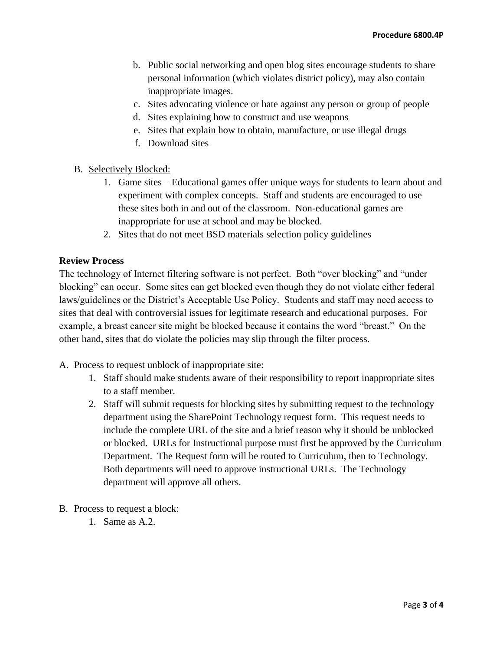- b. Public social networking and open blog sites encourage students to share personal information (which violates district policy), may also contain inappropriate images.
- c. Sites advocating violence or hate against any person or group of people
- d. Sites explaining how to construct and use weapons
- e. Sites that explain how to obtain, manufacture, or use illegal drugs
- f. Download sites
- B. Selectively Blocked:
	- 1. Game sites Educational games offer unique ways for students to learn about and experiment with complex concepts. Staff and students are encouraged to use these sites both in and out of the classroom. Non-educational games are inappropriate for use at school and may be blocked.
	- 2. Sites that do not meet BSD materials selection policy guidelines

#### **Review Process**

The technology of Internet filtering software is not perfect. Both "over blocking" and "under blocking" can occur. Some sites can get blocked even though they do not violate either federal laws/guidelines or the District's Acceptable Use Policy. Students and staff may need access to sites that deal with controversial issues for legitimate research and educational purposes. For example, a breast cancer site might be blocked because it contains the word "breast." On the other hand, sites that do violate the policies may slip through the filter process.

- A. Process to request unblock of inappropriate site:
	- 1. Staff should make students aware of their responsibility to report inappropriate sites to a staff member.
	- 2. Staff will submit requests for blocking sites by submitting request to the technology department using the SharePoint Technology request form. This request needs to include the complete URL of the site and a brief reason why it should be unblocked or blocked. URLs for Instructional purpose must first be approved by the Curriculum Department. The Request form will be routed to Curriculum, then to Technology. Both departments will need to approve instructional URLs. The Technology department will approve all others.
- B. Process to request a block:
	- 1. Same as A.2.